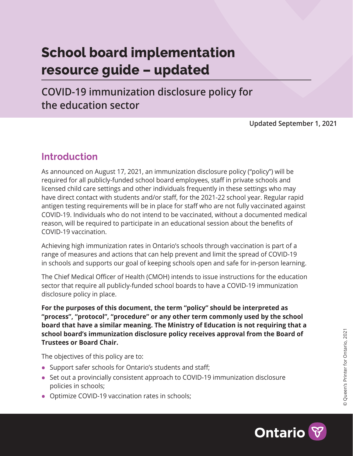# **School board implementation resource guide – updated**

**COVID-19 immunization disclosure policy for the education sector**

**Updated September 1, 2021**

## **Introduction**

As announced on August 17, 2021, an immunization disclosure policy ("policy") will be required for all publicly-funded school board employees, staff in private schools and licensed child care settings and other individuals frequently in these settings who may have direct contact with students and/or staff, for the 2021-22 school year. Regular rapid antigen testing requirements will be in place for staff who are not fully vaccinated against COVID-19. Individuals who do not intend to be vaccinated, without a documented medical reason, will be required to participate in an educational session about the benefits of COVID-19 vaccination.

Achieving high immunization rates in Ontario's schools through vaccination is part of a range of measures and actions that can help prevent and limit the spread of COVID-19 in schools and supports our goal of keeping schools open and safe for in-person learning.

The Chief Medical Officer of Health (CMOH) intends to issue instructions for the education sector that require all publicly-funded school boards to have a COVID-19 immunization disclosure policy in place.

**For the purposes of this document, the term "policy" should be interpreted as "process", "protocol", "procedure" or any other term commonly used by the school board that have a similar meaning. The Ministry of Education is not requiring that a school board's immunization disclosure policy receives approval from the Board of Trustees or Board Chair.**

The objectives of this policy are to:

- **•** Support safer schools for Ontario's students and staff;
- **•** Set out a provincially consistent approach to COVID-19 immunization disclosure policies in schools;
- **•** Optimize COVID-19 vaccination rates in schools;



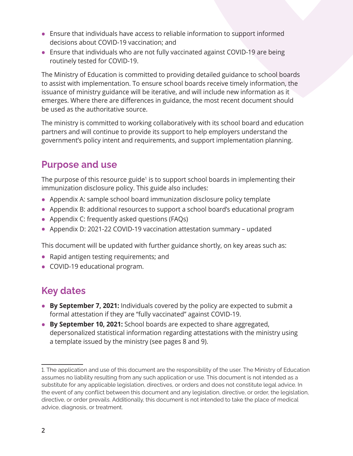- **•** Ensure that individuals have access to reliable information to support informed decisions about COVID-19 vaccination; and
- **•** Ensure that individuals who are not fully vaccinated against COVID-19 are being routinely tested for COVID-19.

The Ministry of Education is committed to providing detailed guidance to school boards to assist with implementation. To ensure school boards receive timely information, the issuance of ministry guidance will be iterative, and will include new information as it emerges. Where there are differences in guidance, the most recent document should be used as the authoritative source.

The ministry is committed to working collaboratively with its school board and education partners and will continue to provide its support to help employers understand the government's policy intent and requirements, and support implementation planning.

## **Purpose and use**

The purpose of this resource guide<sup>1</sup> is to support school boards in implementing their immunization disclosure policy. This guide also includes:

- **•** Appendix A: sample school board immunization disclosure policy template
- **•** Appendix B: additional resources to support a school board's educational program
- **•** Appendix C: frequently asked questions (FAQs)
- **•** Appendix D: 2021-22 COVID-19 vaccination attestation summary updated

This document will be updated with further guidance shortly, on key areas such as:

- **•** Rapid antigen testing requirements; and
- **•** COVID-19 educational program.

## **Key dates**

- **• By September 7, 2021:** Individuals covered by the policy are expected to submit a formal attestation if they are "fully vaccinated" against COVID-19.
- **• By September 10, 2021:** School boards are expected to share aggregated, depersonalized statistical information regarding attestations with the ministry using a template issued by the ministry (see pages 8 and 9).

<sup>1.</sup> The application and use of this document are the responsibility of the user. The Ministry of Education assumes no liability resulting from any such application or use. This document is not intended as a substitute for any applicable legislation, directives, or orders and does not constitute legal advice. In the event of any conflict between this document and any legislation, directive, or order, the legislation, directive, or order prevails. Additionally, this document is not intended to take the place of medical advice, diagnosis, or treatment.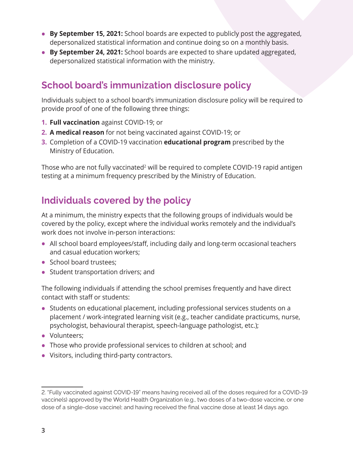- **• By September 15, 2021:** School boards are expected to publicly post the aggregated, depersonalized statistical information and continue doing so on a monthly basis.
- **• By September 24, 2021:** School boards are expected to share updated aggregated, depersonalized statistical information with the ministry.

## **School board's immunization disclosure policy**

Individuals subject to a school board's immunization disclosure policy will be required to provide proof of one of the following three things:

- **1. Full vaccination** against COVID-19; or
- **2. A medical reason** for not being vaccinated against COVID-19; or
- **3.** Completion of a COVID-19 vaccination **educational program** prescribed by the Ministry of Education.

Those who are not fully vaccinated<sup>2</sup> will be required to complete COVID-19 rapid antigen testing at a minimum frequency prescribed by the Ministry of Education.

## **Individuals covered by the policy**

At a minimum, the ministry expects that the following groups of individuals would be covered by the policy, except where the individual works remotely and the individual's work does not involve in-person interactions:

- **•** All school board employees/staff, including daily and long-term occasional teachers and casual education workers;
- **•** School board trustees;
- **•** Student transportation drivers; and

The following individuals if attending the school premises frequently and have direct contact with staff or students:

- **•** Students on educational placement, including professional services students on a placement / work-integrated learning visit (e.g., teacher candidate practicums, nurse, psychologist, behavioural therapist, speech-language pathologist, etc.);
- **•** Volunteers;
- **•** Those who provide professional services to children at school; and
- **•** Visitors, including third-party contractors.

<sup>2. &</sup>quot;Fully vaccinated against COVID-19" means having received all of the doses required for a COVID-19 vaccine(s) approved by the World Health Organization (e.g., two doses of a two-dose vaccine, or one dose of a single-dose vaccine); and having received the final vaccine dose at least 14 days ago.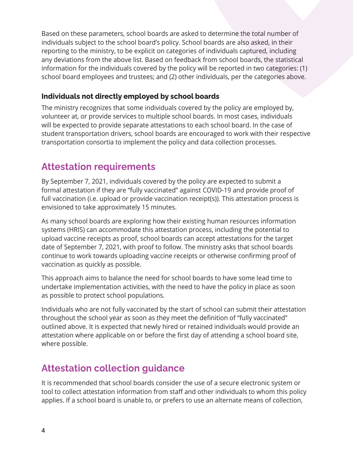Based on these parameters, school boards are asked to determine the total number of individuals subject to the school board's policy. School boards are also asked, in their reporting to the ministry, to be explicit on categories of individuals captured, including any deviations from the above list. Based on feedback from school boards, the statistical information for the individuals covered by the policy will be reported in two categories: (1) school board employees and trustees; and (2) other individuals, per the categories above.

#### **Individuals not directly employed by school boards**

The ministry recognizes that some individuals covered by the policy are employed by, volunteer at, or provide services to multiple school boards. In most cases, individuals will be expected to provide separate attestations to each school board. In the case of student transportation drivers, school boards are encouraged to work with their respective transportation consortia to implement the policy and data collection processes.

## **Attestation requirements**

By September 7, 2021, individuals covered by the policy are expected to submit a formal attestation if they are "fully vaccinated" against COVID-19 and provide proof of full vaccination (i.e. upload or provide vaccination receipt(s)). This attestation process is envisioned to take approximately 15 minutes.

As many school boards are exploring how their existing human resources information systems (HRIS) can accommodate this attestation process, including the potential to upload vaccine receipts as proof, school boards can accept attestations for the target date of September 7, 2021, with proof to follow. The ministry asks that school boards continue to work towards uploading vaccine receipts or otherwise confirming proof of vaccination as quickly as possible.

This approach aims to balance the need for school boards to have some lead time to undertake implementation activities, with the need to have the policy in place as soon as possible to protect school populations.

Individuals who are not fully vaccinated by the start of school can submit their attestation throughout the school year as soon as they meet the definition of "fully vaccinated" outlined above. It is expected that newly hired or retained individuals would provide an attestation where applicable on or before the first day of attending a school board site, where possible.

## **Attestation collection guidance**

It is recommended that school boards consider the use of a secure electronic system or tool to collect attestation information from staff and other individuals to whom this policy applies. If a school board is unable to, or prefers to use an alternate means of collection,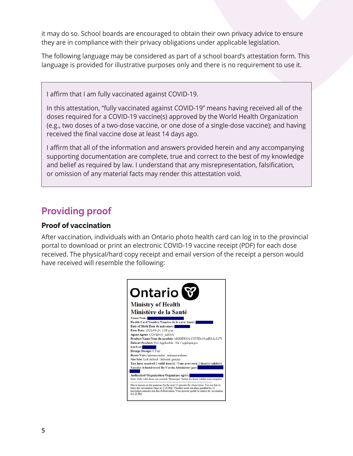it may do so. School boards are encouraged to obtain their own privacy advice to ensure they are in compliance with their privacy obligations under applicable legislation.

The following language may be considered as part of a school board's attestation form. This language is provided for illustrative purposes only and there is no requirement to use it.

I affirm that I am fully vaccinated against COVID-19.

In this attestation, "fully vaccinated against COVID-19" means having received all of the doses required for a COVID-19 vaccine(s) approved by the World Health Organization (e.g., two doses of a two-dose vaccine, or one dose of a single-dose vaccine); and having received the final vaccine dose at least 14 days ago.

I affirm that all of the information and answers provided herein and any accompanying supporting documentation are complete, true and correct to the best of my knowledge and belief as required by law. I understand that any misrepresentation, falsification, or omission of any material facts may render this attestation void.

## **Providing proof**

#### **Proof of vaccination**

After vaccination, individuals with an Ontario photo health card can log in to the provincial portal to download or print an electronic COVID-19 vaccine receipt (PDF) for each dose received. The physical/hard copy receipt and email version of the receipt a person would have received will resemble the following:

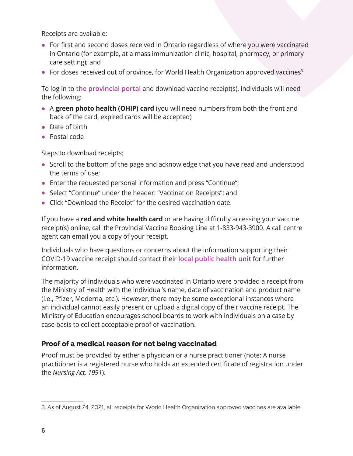Receipts are available:

- **•** For first and second doses received in Ontario regardless of where you were vaccinated in Ontario (for example, at a mass immunization clinic, hospital, pharmacy, or primary care setting); and
- For doses received out of province, for World Health Organization approved vaccines<sup>3</sup>

To log in to **[the provincial portal](https://covid19.ontariohealth.ca/)** and download vaccine receipt(s), individuals will need the following:

- **•** <sup>A</sup>**green photo health (OHIP) card** (you will need numbers from both the front and back of the card, expired cards will be accepted)
- **•** Date of birth
- **•** Postal code

Steps to download receipts:

- **•** Scroll to the bottom of the page and acknowledge that you have read and understood the terms of use;
- **•** Enter the requested personal information and press "Continue";
- **•** Select "Continue" under the header: "Vaccination Receipts"; and
- **•** Click "Download the Receipt" for the desired vaccination date.

If you have a **red and white health card** or are having difficulty accessing your vaccine receipt(s) online, call the Provincial Vaccine Booking Line at 1-833-943-3900. A call centre agent can email you a copy of your receipt.

Individuals who have questions or concerns about the information supporting their COVID-19 vaccine receipt should contact their **[local public health unit](https://www.health.gov.on.ca/en/common/system/services/phu/locations.aspx)** for further information.

The majority of individuals who were vaccinated in Ontario were provided a receipt from the Ministry of Health with the individual's name, date of vaccination and product name (i.e., Pfizer, Moderna, etc.). However, there may be some exceptional instances where an individual cannot easily present or upload a digital copy of their vaccine receipt. The Ministry of Education encourages school boards to work with individuals on a case by case basis to collect acceptable proof of vaccination.

#### **Proof of a medical reason for not being vaccinated**

Proof must be provided by either a physician or a nurse practitioner (note: A nurse practitioner is a registered nurse who holds an extended certificate of registration under the *Nursing Act, 1991*).

<sup>3.</sup> As of August 24, 2021, all receipts for World Health Organization approved vaccines are available.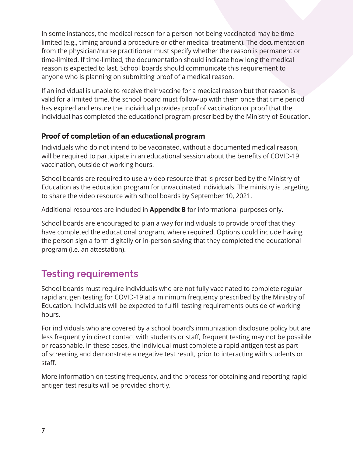In some instances, the medical reason for a person not being vaccinated may be timelimited (e.g., timing around a procedure or other medical treatment). The documentation from the physician/nurse practitioner must specify whether the reason is permanent or time-limited. If time-limited, the documentation should indicate how long the medical reason is expected to last. School boards should communicate this requirement to anyone who is planning on submitting proof of a medical reason.

If an individual is unable to receive their vaccine for a medical reason but that reason is valid for a limited time, the school board must follow-up with them once that time period has expired and ensure the individual provides proof of vaccination or proof that the individual has completed the educational program prescribed by the Ministry of Education.

#### **Proof of completion of an educational program**

Individuals who do not intend to be vaccinated, without a documented medical reason, will be required to participate in an educational session about the benefits of COVID-19 vaccination, outside of working hours.

School boards are required to use a video resource that is prescribed by the Ministry of Education as the education program for unvaccinated individuals. The ministry is targeting to share the video resource with school boards by September 10, 2021.

Additional resources are included in **Appendix B** for informational purposes only.

School boards are encouraged to plan a way for individuals to provide proof that they have completed the educational program, where required. Options could include having the person sign a form digitally or in-person saying that they completed the educational program (i.e. an attestation).

## **Testing requirements**

School boards must require individuals who are not fully vaccinated to complete regular rapid antigen testing for COVID-19 at a minimum frequency prescribed by the Ministry of Education. Individuals will be expected to fulfill testing requirements outside of working hours.

For individuals who are covered by a school board's immunization disclosure policy but are less frequently in direct contact with students or staff, frequent testing may not be possible or reasonable. In these cases, the individual must complete a rapid antigen test as part of screening and demonstrate a negative test result, prior to interacting with students or staff.

More information on testing frequency, and the process for obtaining and reporting rapid antigen test results will be provided shortly.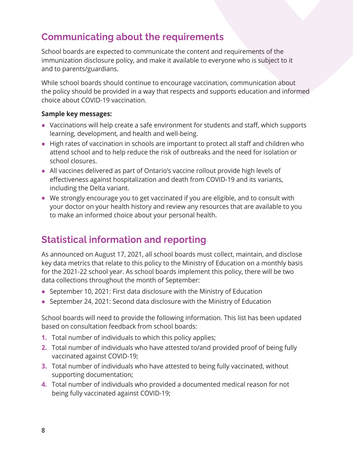## **Communicating about the requirements**

School boards are expected to communicate the content and requirements of the immunization disclosure policy, and make it available to everyone who is subject to it and to parents/guardians.

While school boards should continue to encourage vaccination, communication about the policy should be provided in a way that respects and supports education and informed choice about COVID-19 vaccination.

#### **Sample key messages:**

- **•** Vaccinations will help create a safe environment for students and staff, which supports learning, development, and health and well-being.
- **•** High rates of vaccination in schools are important to protect all staff and children who attend school and to help reduce the risk of outbreaks and the need for isolation or school closures.
- **•** All vaccines delivered as part of Ontario's vaccine rollout provide high levels of effectiveness against hospitalization and death from COVID-19 and its variants, including the Delta variant.
- **•** We strongly encourage you to get vaccinated if you are eligible, and to consult with your doctor on your health history and review any resources that are available to you to make an informed choice about your personal health.

## **Statistical information and reporting**

As announced on August 17, 2021, all school boards must collect, maintain, and disclose key data metrics that relate to this policy to the Ministry of Education on a monthly basis for the 2021-22 school year. As school boards implement this policy, there will be two data collections throughout the month of September:

- **•** September 10, 2021: First data disclosure with the Ministry of Education
- **•** September 24, 2021: Second data disclosure with the Ministry of Education

School boards will need to provide the following information. This list has been updated based on consultation feedback from school boards:

- **1.** Total number of individuals to which this policy applies;
- **2.** Total number of individuals who have attested to/and provided proof of being fully vaccinated against COVID-19;
- **3.** Total number of individuals who have attested to being fully vaccinated, without supporting documentation;
- **4.** Total number of individuals who provided a documented medical reason for not being fully vaccinated against COVID-19;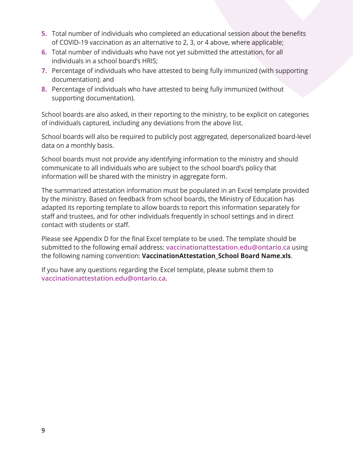- **5.** Total number of individuals who completed an educational session about the benefits of COVID-19 vaccination as an alternative to 2, 3, or 4 above, where applicable;
- **6.** Total number of individuals who have not yet submitted the attestation, for all individuals in a school board's HRIS;
- **7.** Percentage of individuals who have attested to being fully immunized (with supporting documentation); and
- **8.** Percentage of individuals who have attested to being fully immunized (without supporting documentation).

School boards are also asked, in their reporting to the ministry, to be explicit on categories of individuals captured, including any deviations from the above list.

School boards will also be required to publicly post aggregated, depersonalized board-level data on a monthly basis.

School boards must not provide any identifying information to the ministry and should communicate to all individuals who are subject to the school board's policy that information will be shared with the ministry in aggregate form.

The summarized attestation information must be populated in an Excel template provided by the ministry. Based on feedback from school boards, the Ministry of Education has adapted its reporting template to allow boards to report this information separately for staff and trustees, and for other individuals frequently in school settings and in direct contact with students or staff.

Please see Appendix D for the final Excel template to be used. The template should be submitted to the following email address: **[vaccinationattestation.edu@ontario.ca](mailto:vaccinationattestation.edu@ontario.ca)** using the following naming convention: **VaccinationAttestation\_School Board Name.xls**.

If you have any questions regarding the Excel template, please submit them to **[vaccinationattestation.edu@ontario.ca](mailto:vaccinationattestation.edu@ontario.ca)**.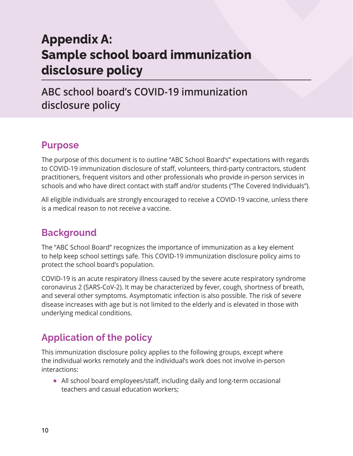# **Appendix A: Sample school board immunization disclosure policy**

**ABC school board's COVID-19 immunization disclosure policy**

## **Purpose**

The purpose of this document is to outline "ABC School Board's" expectations with regards to COVID-19 immunization disclosure of staff, volunteers, third-party contractors, student practitioners, frequent visitors and other professionals who provide in-person services in schools and who have direct contact with staff and/or students ("The Covered Individuals").

All eligible individuals are strongly encouraged to receive a COVID-19 vaccine, unless there is a medical reason to not receive a vaccine.

## **Background**

The "ABC School Board" recognizes the importance of immunization as a key element to help keep school settings safe. This COVID-19 immunization disclosure policy aims to protect the school board's population.

COVID-19 is an acute respiratory illness caused by the severe acute respiratory syndrome coronavirus 2 (SARS-CoV-2). It may be characterized by fever, cough, shortness of breath, and several other symptoms. Asymptomatic infection is also possible. The risk of severe disease increases with age but is not limited to the elderly and is elevated in those with underlying medical conditions.

## **Application of the policy**

This immunization disclosure policy applies to the following groups, except where the individual works remotely and the individual's work does not involve in-person interactions:

**•** All school board employees/staff, including daily and long-term occasional teachers and casual education workers;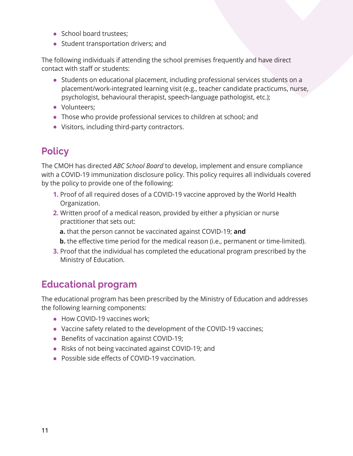- **•** School board trustees;
- **•** Student transportation drivers; and

The following individuals if attending the school premises frequently and have direct contact with staff or students:

- **•** Students on educational placement, including professional services students on a placement/work-integrated learning visit (e.g., teacher candidate practicums, nurse, psychologist, behavioural therapist, speech-language pathologist, etc.);
- **•** Volunteers;
- **•** Those who provide professional services to children at school; and
- **•** Visitors, including third-party contractors.

## **Policy**

The CMOH has directed *ABC School Board* to develop, implement and ensure compliance with a COVID-19 immunization disclosure policy. This policy requires all individuals covered by the policy to provide one of the following:

- **1.** Proof of all required doses of a COVID-19 vaccine approved by the World Health Organization.
- **2.** Written proof of a medical reason, provided by either a physician or nurse practitioner that sets out:
	- **a.** that the person cannot be vaccinated against COVID-19; **and**
	- **b.** the effective time period for the medical reason (i.e., permanent or time-limited).
- **3.** Proof that the individual has completed the educational program prescribed by the Ministry of Education.

## **Educational program**

The educational program has been prescribed by the Ministry of Education and addresses the following learning components:

- **•** How COVID-19 vaccines work;
- **•** Vaccine safety related to the development of the COVID-19 vaccines;
- **•** Benefits of vaccination against COVID-19;
- **•** Risks of not being vaccinated against COVID-19; and
- **•** Possible side effects of COVID-19 vaccination.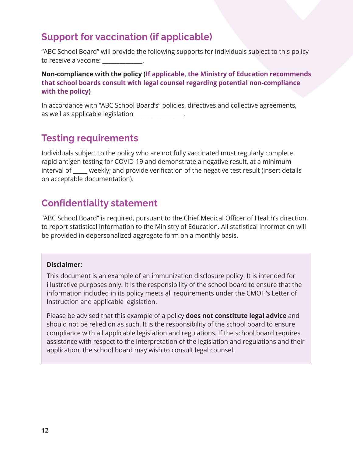## **Support for vaccination (if applicable)**

"ABC School Board" will provide the following supports for individuals subject to this policy to receive a vaccine:

**Non-compliance with the policy (If applicable, the Ministry of Education recommends that school boards consult with legal counsel regarding potential non-compliance with the policy)**

In accordance with "ABC School Board's" policies, directives and collective agreements, as well as applicable legislation

## **Testing requirements**

Individuals subject to the policy who are not fully vaccinated must regularly complete rapid antigen testing for COVID-19 and demonstrate a negative result, at a minimum interval of \_\_\_\_\_ weekly; and provide verification of the negative test result (insert details on acceptable documentation).

## **Confidentiality statement**

"ABC School Board" is required, pursuant to the Chief Medical Officer of Health's direction, to report statistical information to the Ministry of Education. All statistical information will be provided in depersonalized aggregate form on a monthly basis.

#### **Disclaimer:**

This document is an example of an immunization disclosure policy. It is intended for illustrative purposes only. It is the responsibility of the school board to ensure that the information included in its policy meets all requirements under the CMOH's Letter of Instruction and applicable legislation.

Please be advised that this example of a policy **does not constitute legal advice** and should not be relied on as such. It is the responsibility of the school board to ensure compliance with all applicable legislation and regulations. If the school board requires assistance with respect to the interpretation of the legislation and regulations and their application, the school board may wish to consult legal counsel.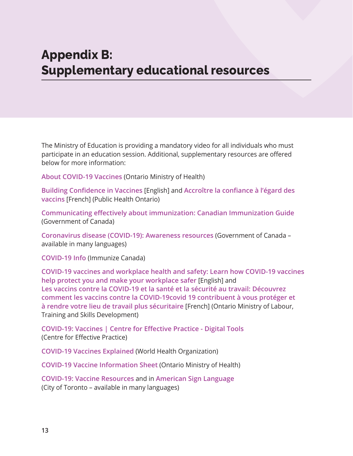# **Appendix B: Supplementary educational resources**

The Ministry of Education is providing a mandatory video for all individuals who must participate in an education session. Additional, supplementary resources are offered below for more information:

**[About COVID-19 Vaccines](https://www.health.gov.on.ca/en/pro/programs/publichealth/coronavirus/docs/vaccine/COVID-19_about_vaccines.pdf)** (Ontario Ministry of Health)

**[Building Confidence in Vaccines](https://www.publichealthontario.ca/-/media/documents/ncov/vaccines/2021/04/covid-19-building-confidence-in-vaccines.pdf?la=en)** [English] and **[Accroître la confiance à l'égard des](https://www.publichealthontario.ca/-/media/documents/ncov/vaccines/2021/04/covid-19-building-confidence-in-vaccines.pdf?la=fr)  [vaccins](https://www.publichealthontario.ca/-/media/documents/ncov/vaccines/2021/04/covid-19-building-confidence-in-vaccines.pdf?la=fr)** [French] (Public Health Ontario)

**[Communicating effectively about immunization: Canadian Immunization Guide](https://www.canada.ca/en/public-health/services/publications/healthy-living/canadian-immunization-guide-part-1-key-immunization-information/page-5-communicating-effectively-immunization.html)** (Government of Canada)

**[Coronavirus disease \(COVID-19\): Awareness resources](https://www.canada.ca/en/public-health/services/diseases/2019-novel-coronavirus-infection/awareness-resources.html?vaccination)** (Government of Canada – available in many languages)

**[COVID-19 Info](https://immunize.ca/covid-19-info)** (Immunize Canada)

**[COVID-19 vaccines and workplace health and safety: Learn how COVID-19 vaccines](https://www.ontario.ca/page/covid-19-vaccines-and-workplace-health-and-safety)  [help protect you and make your workplace safer](https://www.ontario.ca/page/covid-19-vaccines-and-workplace-health-and-safety)** [English] and **[Les vaccins contre la COVID-19 et la santé et la sécurité au travail: Découvrez](https://www.ontario.ca/fr/page/les-vaccins-contre-la-covid-19-et-la-sante-et-la-securite-au-travail)  [comment les vaccins contre la COVID-19covid 19 contribuent à vous protéger et](https://www.ontario.ca/fr/page/les-vaccins-contre-la-covid-19-et-la-sante-et-la-securite-au-travail)  [à rendre votre lieu de travail plus sécuritaire](https://www.ontario.ca/fr/page/les-vaccins-contre-la-covid-19-et-la-sante-et-la-securite-au-travail)** [French] (Ontario Ministry of Labour, Training and Skills Development)

**[COVID-19: Vaccines | Centre for Effective Practice - Digital Tools](https://tools.cep.health/tool/covid-19-vaccines/)** (Centre for Effective Practice)

**[COVID-19 Vaccines Explained](https://www.who.int/emergencies/diseases/novel-coronavirus-2019/covid-19-vaccines/explainers)** (World Health Organization)

**[COVID-19 Vaccine Information Sheet](https://www.health.gov.on.ca/en/pro/programs/publichealth/coronavirus/docs/vaccine/COVID-19_vaccine_info_sheet.pdf)** (Ontario Ministry of Health)

**[COVID-19: Vaccine Resources](https://www.toronto.ca/home/covid-19/covid-19-protect-yourself-others/covid-19-vaccines/covid-19-vaccine-resources/)** and in **[American Sign Language](https://www.youtube.com/embed/fAn3FP6f1h8?rel=0&feature=oembed)** (City of Toronto – available in many languages)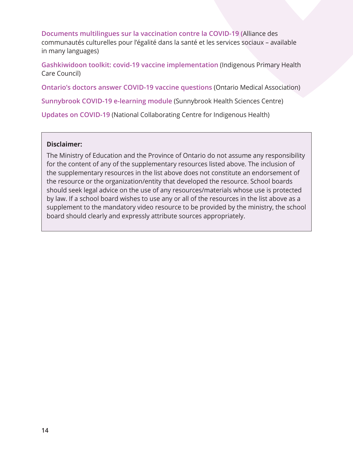**[Documents multilingues sur la vaccination contre la COVID-19](https://accesss.net/documents-multilingues-sur-la-vaccination-contre-la-covid-19/) (**Alliance des communautés culturelles pour l'égalité dans la santé et les services sociaux – available in many languages)

**[Gashkiwidoon toolkit: covid-19 vaccine implementation](https://www.iphcc.ca/publications/toolkits/Gashkiwidoon/22/)** (Indigenous Primary Health Care Council)

**[Ontario's doctors answer COVID-19 vaccine questions](https://www.askontariodoctors.ca/covidvaccine?utm_source=link.cep.health&utm_medium=urlshortener&utm_campaign=covid-vaccine&fbclid=IwAR0BMfWa7awcKqMqTG-GxhubRJJUPgAVJ19yt2HUE2x3_O6CuiVyItoHgiw)** (Ontario Medical Association)

**[Sunnybrook COVID-19 e-learning module](https://360.articulate.com/review/content/e77b56e0-45ed-42d0-9d9f-1b51eb8277ed/review)** (Sunnybrook Health Sciences Centre)

**Updates on COVID-19** (National Collaborating Centre for Indigenous Health)

#### **Disclaimer:**

The Ministry of Education and the Province of Ontario do not assume any responsibility for the content of any of the supplementary resources listed above. The inclusion of the supplementary resources in the list above does not constitute an endorsement of the resource or the organization/entity that developed the resource. School boards should seek legal advice on the use of any resources/materials whose use is protected by law. If a school board wishes to use any or all of the resources in the list above as a supplement to the mandatory video resource to be provided by the ministry, the school board should clearly and expressly attribute sources appropriately.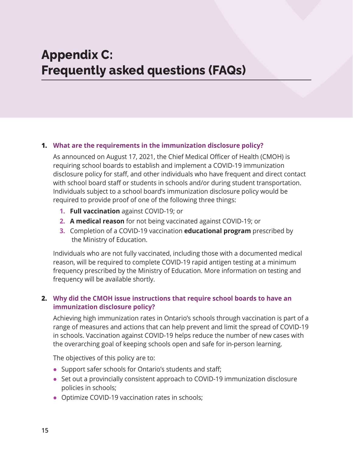# **Appendix C: Frequently asked questions (FAQs)**

#### **1. What are the requirements in the immunization disclosure policy?**

As announced on August 17, 2021, the Chief Medical Officer of Health (CMOH) is requiring school boards to establish and implement a COVID-19 immunization disclosure policy for staff, and other individuals who have frequent and direct contact with school board staff or students in schools and/or during student transportation. Individuals subject to a school board's immunization disclosure policy would be required to provide proof of one of the following three things:

- **1. Full vaccination** against COVID-19; or
- **2. A medical reason** for not being vaccinated against COVID-19; or
- **3.** Completion of a COVID-19 vaccination **educational program** prescribed by the Ministry of Education.

Individuals who are not fully vaccinated, including those with a documented medical reason, will be required to complete COVID-19 rapid antigen testing at a minimum frequency prescribed by the Ministry of Education. More information on testing and frequency will be available shortly.

#### **2. Why did the CMOH issue instructions that require school boards to have an immunization disclosure policy?**

Achieving high immunization rates in Ontario's schools through vaccination is part of a range of measures and actions that can help prevent and limit the spread of COVID-19 in schools. Vaccination against COVID-19 helps reduce the number of new cases with the overarching goal of keeping schools open and safe for in-person learning.

The objectives of this policy are to:

- **•** Support safer schools for Ontario's students and staff;
- **•** Set out a provincially consistent approach to COVID-19 immunization disclosure policies in schools;
- **•** Optimize COVID-19 vaccination rates in schools;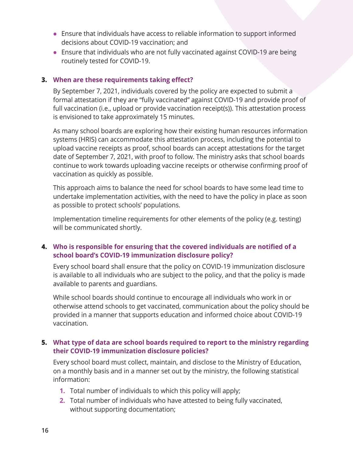- **•** Ensure that individuals have access to reliable information to support informed decisions about COVID-19 vaccination; and
- **•** Ensure that individuals who are not fully vaccinated against COVID-19 are being routinely tested for COVID-19.

#### **3. When are these requirements taking effect?**

By September 7, 2021, individuals covered by the policy are expected to submit a formal attestation if they are "fully vaccinated" against COVID-19 and provide proof of full vaccination (i.e., upload or provide vaccination receipt(s)). This attestation process is envisioned to take approximately 15 minutes.

As many school boards are exploring how their existing human resources information systems (HRIS) can accommodate this attestation process, including the potential to upload vaccine receipts as proof, school boards can accept attestations for the target date of September 7, 2021, with proof to follow. The ministry asks that school boards continue to work towards uploading vaccine receipts or otherwise confirming proof of vaccination as quickly as possible.

This approach aims to balance the need for school boards to have some lead time to undertake implementation activities, with the need to have the policy in place as soon as possible to protect schools' populations.

Implementation timeline requirements for other elements of the policy (e.g. testing) will be communicated shortly.

#### **4. Who is responsible for ensuring that the covered individuals are notified of a school board's COVID-19 immunization disclosure policy?**

Every school board shall ensure that the policy on COVID-19 immunization disclosure is available to all individuals who are subject to the policy, and that the policy is made available to parents and guardians.

While school boards should continue to encourage all individuals who work in or otherwise attend schools to get vaccinated, communication about the policy should be provided in a manner that supports education and informed choice about COVID-19 vaccination.

#### **5. What type of data are school boards required to report to the ministry regarding their COVID-19 immunization disclosure policies?**

Every school board must collect, maintain, and disclose to the Ministry of Education, on a monthly basis and in a manner set out by the ministry, the following statistical information:

- **1.** Total number of individuals to which this policy will apply;
- **2.** Total number of individuals who have attested to being fully vaccinated, without supporting documentation;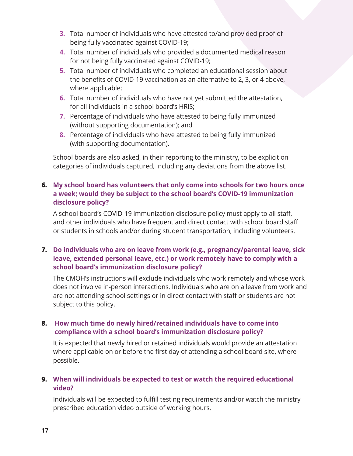- **3.** Total number of individuals who have attested to/and provided proof of being fully vaccinated against COVID-19;
- **4.** Total number of individuals who provided a documented medical reason for not being fully vaccinated against COVID-19;
- **5.** Total number of individuals who completed an educational session about the benefits of COVID-19 vaccination as an alternative to 2, 3, or 4 above, where applicable;
- **6.** Total number of individuals who have not yet submitted the attestation, for all individuals in a school board's HRIS;
- **7.** Percentage of individuals who have attested to being fully immunized (without supporting documentation); and
- **8.** Percentage of individuals who have attested to being fully immunized (with supporting documentation).

School boards are also asked, in their reporting to the ministry, to be explicit on categories of individuals captured, including any deviations from the above list.

#### **6. My school board has volunteers that only come into schools for two hours once a week; would they be subject to the school board's COVID-19 immunization disclosure policy?**

A school board's COVID-19 immunization disclosure policy must apply to all staff, and other individuals who have frequent and direct contact with school board staff or students in schools and/or during student transportation, including volunteers.

#### **7. Do individuals who are on leave from work (e.g., pregnancy/parental leave, sick leave, extended personal leave, etc.) or work remotely have to comply with a school board's immunization disclosure policy?**

The CMOH's instructions will exclude individuals who work remotely and whose work does not involve in-person interactions. Individuals who are on a leave from work and are not attending school settings or in direct contact with staff or students are not subject to this policy.

#### **8. How much time do newly hired/retained individuals have to come into compliance with a school board's immunization disclosure policy?**

It is expected that newly hired or retained individuals would provide an attestation where applicable on or before the first day of attending a school board site, where possible.

#### **9. When will individuals be expected to test or watch the required educational video?**

Individuals will be expected to fulfill testing requirements and/or watch the ministry prescribed education video outside of working hours.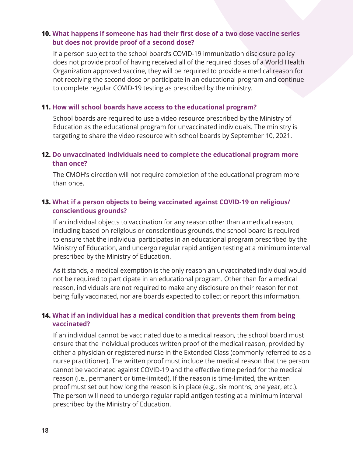#### **10. What happens if someone has had their first dose of a two dose vaccine series but does not provide proof of a second dose?**

If a person subject to the school board's COVID-19 immunization disclosure policy does not provide proof of having received all of the required doses of a World Health Organization approved vaccine, they will be required to provide a medical reason for not receiving the second dose or participate in an educational program and continue to complete regular COVID-19 testing as prescribed by the ministry.

#### **11. How will school boards have access to the educational program?**

School boards are required to use a video resource prescribed by the Ministry of Education as the educational program for unvaccinated individuals. The ministry is targeting to share the video resource with school boards by September 10, 2021.

#### **12. Do unvaccinated individuals need to complete the educational program more than once?**

The CMOH's direction will not require completion of the educational program more than once.

#### **13. What if a person objects to being vaccinated against COVID-19 on religious/ conscientious grounds?**

If an individual objects to vaccination for any reason other than a medical reason, including based on religious or conscientious grounds, the school board is required to ensure that the individual participates in an educational program prescribed by the Ministry of Education, and undergo regular rapid antigen testing at a minimum interval prescribed by the Ministry of Education.

As it stands, a medical exemption is the only reason an unvaccinated individual would not be required to participate in an educational program. Other than for a medical reason, individuals are not required to make any disclosure on their reason for not being fully vaccinated, nor are boards expected to collect or report this information.

#### **14. What if an individual has a medical condition that prevents them from being vaccinated?**

If an individual cannot be vaccinated due to a medical reason, the school board must ensure that the individual produces written proof of the medical reason, provided by either a physician or registered nurse in the Extended Class (commonly referred to as a nurse practitioner). The written proof must include the medical reason that the person cannot be vaccinated against COVID-19 and the effective time period for the medical reason (i.e., permanent or time-limited). If the reason is time-limited, the written proof must set out how long the reason is in place (e.g., six months, one year, etc.). The person will need to undergo regular rapid antigen testing at a minimum interval prescribed by the Ministry of Education.